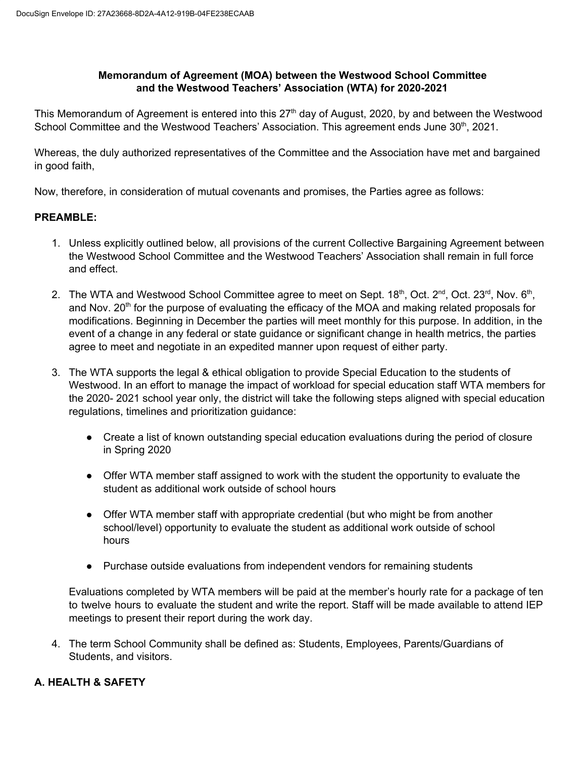#### **Memorandum of Agreement (MOA) between the Westwood School Committee Rand the Westwood Teachers' Association (WTA) for 2020-2021**

This Memorandum of Agreement is entered into this  $27<sup>th</sup>$  day of August, 2020, by and between the Westwood School Committee and the Westwood Teachers' Association. This agreement ends June 30<sup>th</sup>, 2021.

Whereas, the duly authorized representatives of the Committee and the Association have met and bargained in good faith,

Now, therefore, in consideration of mutual covenants and promises, the Parties agree as follows:

## **PREAMBLE:**

- 1. Unless explicitly outlined below, all provisions of the current Collective Bargaining Agreement between the Westwood School Committee and the Westwood Teachers' Association shall remain in full force and effect.
- 2. The WTA and Westwood School Committee agree to meet on Sept. 18<sup>th</sup>, Oct. 2<sup>nd</sup>, Oct. 23<sup>rd</sup>, Nov. 6<sup>th</sup>, and Nov. 20<sup>th</sup> for the purpose of evaluating the efficacy of the MOA and making related proposals for modifications. Beginning in December the parties will meet monthly for this purpose. In addition, in the event of a change in any federal or state guidance or significant change in health metrics, the parties agree to meet and negotiate in an expedited manner upon request of either party.
- 3. The WTA supports the legal & ethical obligation to provide Special Education to the students of Westwood. In an effort to manage the impact of workload for special education staff WTA members for the 2020- 2021 school year only, the district will take the following steps aligned with special education regulations, timelines and prioritization guidance:
	- Create a list of known outstanding special education evaluations during the period of closure in Spring 2020
	- $\bullet$  Offer WTA member staff assigned to work with the student the opportunity to evaluate the student as additional work outside of school hours
	- $\bullet$  Offer WTA member staff with appropriate credential (but who might be from another school/level) opportunity to evaluate the student as additional work outside of school hours
	- Purchase outside evaluations from independent vendors for remaining students

Evaluations completed by WTA members will be paid at the member's hourly rate for a package of ten to twelve hours to evaluate the student and write the report. Staff will be made available to attend IEP meetings to present their report during the work day.

4. The term School Community shall be defined as: Students, Employees, Parents/Guardians of Students, and visitors.

# **A..HEALTH & SAFETY**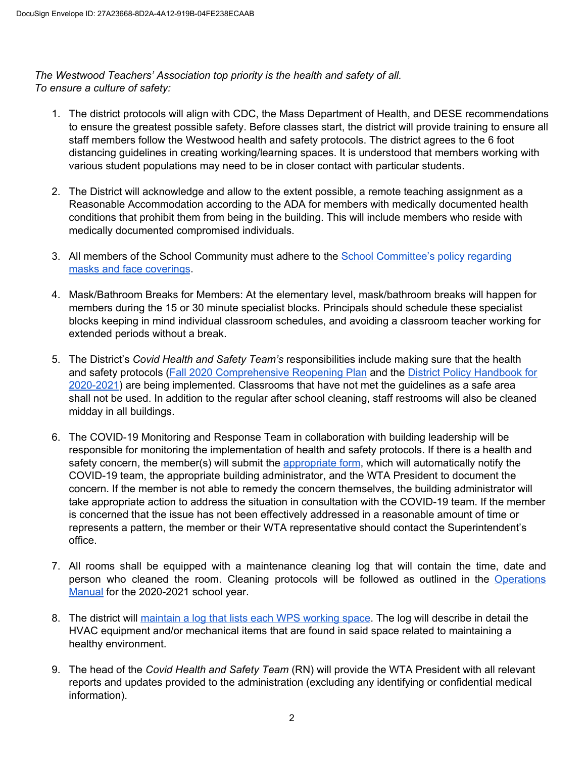*The Westwood Teachers' Association top priority is the health and safety of all. To* ensure a culture of safety:

- 1. The district protocols will align with CDC, the Mass Department of Health, and DESE recommendations to ensure the greatest possible safety. Before classes start, the district will provide training to ensure all staff members follow the Westwood health and safety protocols. The district agrees to the 6 foot distancing guidelines in creating working/learning spaces. It is understood that members working with various student populations may need to be in closer contact with particular students.
- 2. The District will acknowledge and allow to the extent possible, a remote teaching assignment as a Reasonable Accommodation according to the ADA for members with medically documented health conditions that prohibit them from being in the building. This will include members who reside with medically documented compromised individuals.
- 3. All members of the School Community must adhere to the School Committee's policy regarding masks and face coverings.
- 4. Mask/Bathroom Breaks for Members: At the elementary level, mask/bathroom breaks will happen for members during the 15 or 30 minute specialist blocks. Principals should schedule these specialist blocks keeping in mind individual classroom schedules, and avoiding a classroom teacher working for extended periods without a break.
- 5. The District's *Covid Health and Safety Team's* responsibilities include making sure that the health and safety protocols (Fall 2020 Comprehensive Reopening Plan and the District Policy Handbook for  $2020-2021$ ) are being implemented. Classrooms that have not met the guidelines as a safe area shall not be used. In addition to the regular after school cleaning, staff restrooms will also be cleaned midday in all buildings.
- 6. The COVID-19 Monitoring and Response Team in collaboration with building leadership will be responsible for monitoring the implementation of health and safety protocols. If there is a health and safety concern, the member(s) will submit the appropriate form, which will automatically notify the COVID-19 team, the appropriate building administrator, and the WTA President to document the concern. If the member is not able to remedy the concern themselves, the building administrator will take appropriate action to address the situation in consultation with the COVID-19 team. If the member is concerned that the issue has not been effectively addressed in a reasonable amount of time or represents a pattern, the member or their WTA representative should contact the Superintendent's office.
- 7. All rooms shall be equipped with a maintenance cleaning log that will contain the time, date and person who cleaned the room. Cleaning protocols will be followed as outlined in the Operations Manual for the 2020-2021 school year.
- 8. The district will maintain a log that lists each WPS working space. The log will describe in detail the HVAC equipment and/or mechanical items that are found in said space related to maintaining a healthy environment.
- 9. The head of the *Covid Health and Safety Team* (RN) will provide the WTA President with all relevant reports and updates provided to the administration (excluding any identifying or confidential medical information).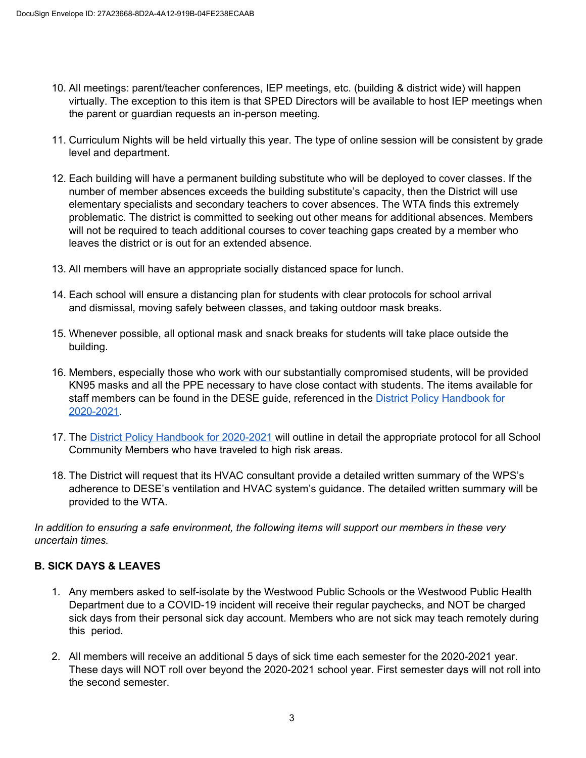- 10. All meetings: parent/teacher conferences, IEP meetings, etc. (building & district wide) will happen virtually. The exception to this item is that SPED Directors will be available to host IEP meetings when the parent or guardian requests an in-person meeting.
- 11. Curriculum Nights will be held virtually this year. The type of online session will be consistent by grade level and department.
- 12. Each building will have a permanent building substitute who will be deployed to cover classes. If the number of member absences exceeds the building substitute's capacity, then the District will use elementary specialists and secondary teachers to cover absences. The WTA finds this extremely problematic. The district is committed to seeking out other means for additional absences. Members will not be required to teach additional courses to cover teaching gaps created by a member who leaves the district or is out for an extended absence.
- 13. All members will have an appropriate socially distanced space for lunch.
- 14. Each school will ensure a distancing plan for students with clear protocols for school arrival and dismissal, moving safely between classes, and taking outdoor mask breaks.
- 15. Whenever possible, all optional mask and snack breaks for students will take place outside the building.
- 16. Members, especially those who work with our substantially compromised students, will be provided KN95 masks and all the PPE necessary to have close contact with students. The items available for staff members can be found in the DESE guide, referenced in the District Policy Handbook for 2020-2021.
- 17. The District Policy Handbook for 2020-2021 will outline in detail the appropriate protocol for all School Community Members who have traveled to high risk areas.
- 18. The District will request that its HVAC consultant provide a detailed written summary of the WPS's adherence to DESE's ventilation and HVAC system's guidance. The detailed written summary will be provided to the WTA.

*In* addition to ensuring a safe environment, the following items will support our members in these very *<i>Xncertain times.* 

# **B. SICK DAYS & LEAVES**

- 1. Any members asked to self-isolate by the Westwood Public Schools or the Westwood Public Health Department due to a COVID-19 incident will receive their regular paychecks, and NOT be charged sick days from their personal sick day account. Members who are not sick may teach remotely during this period.
- 2. All members will receive an additional 5 days of sick time each semester for the 2020-2021 year. These days will NOT roll over beyond the 2020-2021 school year. First semester days will not roll into the second semester.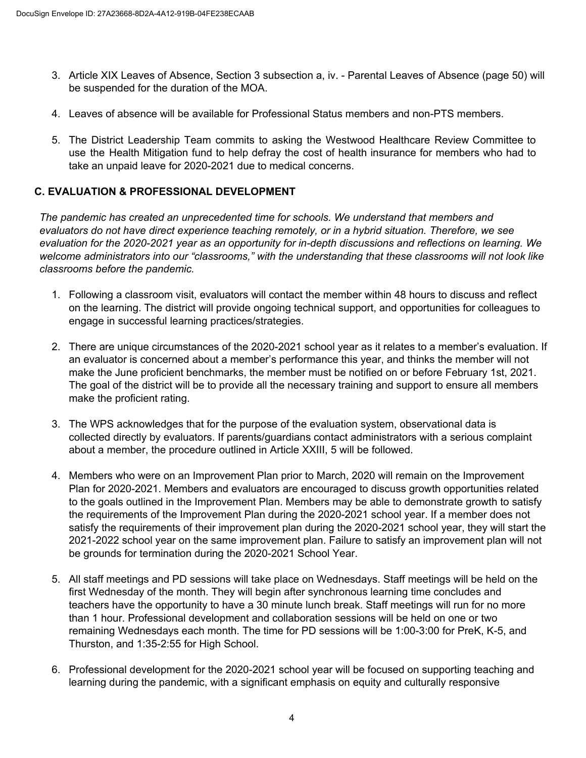- 3. Article XIX Leaves of Absence, Section 3 subsection a, iv. Parental Leaves of Absence (page 50) will be suspended for the duration of the MOA.
- 4. Leaves of absence will be available for Professional Status members and non-PTS members.
- 5. The District Leadership Team commits to asking the Westwood Healthcare Review Committee to use the Health Mitigation fund to help defray the cost of health insurance for members who had to take an unpaid leave for 2020-2021 due to medical concerns.

#### **C. EVALUATION & PROFESSIONAL DEVELOPMENT**

The pandemic has created an unprecedented time for schools. We understand that members and evaluators do not have direct experience teaching remotely, or in a hybrid situation. Therefore, we see evaluation for the 2020-2021 year as an opportunity for in-depth discussions and reflections on learning. We welcome administrators into our "classrooms," with the understanding that these classrooms will not look like classrooms before the pandemic.

- 1. Following a classroom visit, evaluators will contact the member within 48 hours to discuss and reflect on the learning. The district will provide ongoing technical support, and opportunities for colleagues to engage in successful learning practices/strategies.
- 2. There are unique circumstances of the 2020-2021 school year as it relates to a member's evaluation. If an evaluator is concerned about a member's performance this year, and thinks the member will not make the June proficient benchmarks, the member must be notified on or before February 1st, 2021. The goal of the district will be to provide all the necessary training and support to ensure all members make the proficient rating.
- 3. The WPS acknowledges that for the purpose of the evaluation system, observational data is collected directly by evaluators. If parents/guardians contact administrators with a serious complaint about a member, the procedure outlined in Article XXIII, 5 will be followed.
- 4. Members who were on an Improvement Plan prior to March, 2020 will remain on the Improvement Plan for 2020-2021. Members and evaluators are encouraged to discuss growth opportunities related to the goals outlined in the Improvement Plan. Members may be able to demonstrate growth to satisfy the requirements of the Improvement Plan during the 2020-2021 school year. If a member does not satisfy the requirements of their improvement plan during the 2020-2021 school year, they will start the 2021-2022 school year on the same improvement plan. Failure to satisfy an improvement plan will not be grounds for termination during the 2020-2021 School Year.
- 5. All staff meetings and PD sessions will take place on Wednesdays. Staff meetings will be held on the first Wednesday of the month. They will begin after synchronous learning time concludes and teachers have the opportunity to have a 30 minute lunch break. Staff meetings will run for no more than 1 hour. Professional development and collaboration sessions will be held on one or two remaining Wednesdays each month. The time for PD sessions will be 1:00-3:00 for PreK, K-5, and Thurston, and 1:35-2:55 for High School.
- 6. Professional development for the 2020-2021 school year will be focused on supporting teaching and learning during the pandemic, with a significant emphasis on equity and culturally responsive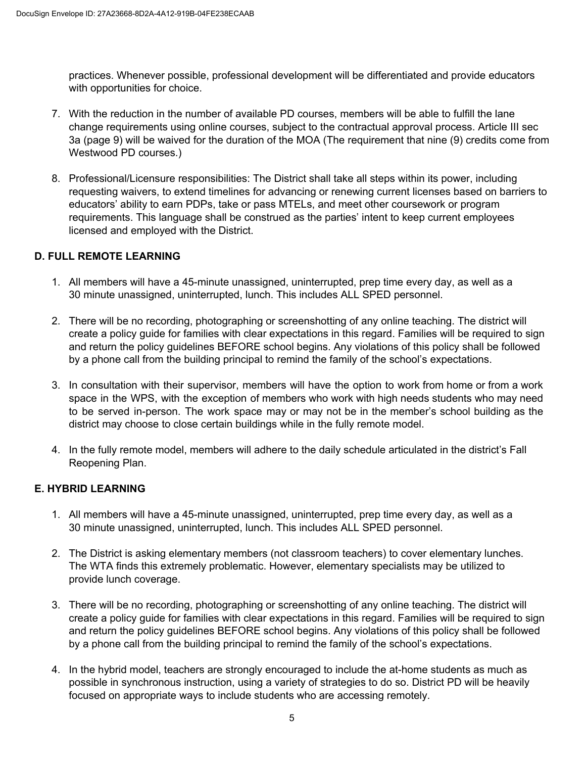practices. Whenever possible, professional development will be differentiated and provide educators with opportunities for choice.

- 7. With the reduction in the number of available PD courses, members will be able to fulfill the lane change requirements using online courses, subject to the contractual approval process. Article III sec 3a (page 9) will be waived for the duration of the MOA (The requirement that nine (9) credits come from Westwood PD courses.)
- 8. Professional/Licensure responsibilities: The District shall take all steps within its power, including requesting waivers, to extend timelines for advancing or renewing current licenses based on barriers to educators' ability to earn PDPs, take or pass MTELs, and meet other coursework or program requirements. This language shall be construed as the parties' intent to keep current employees licensed and employed with the District.

#### **D. FULL REMOTE LEARNING**

- 1. All members will have a 45-minute unassigned, uninterrupted, prep time every day, as well as a 30 minute unassigned, uninterrupted, lunch. This includes ALL SPED personnel.
- 2. There will be no recording, photographing or screenshotting of any online teaching. The district will create a policy guide for families with clear expectations in this regard. Families will be required to sign and return the policy guidelines BEFORE school begins. Any violations of this policy shall be followed by a phone call from the building principal to remind the family of the school's expectations.
- 3. In consultation with their supervisor, members will have the option to work from home or from a work space in the WPS, with the exception of members who work with high needs students who may need to be served in-person. The work space may or may not be in the member's school building as the district may choose to close certain buildings while in the fully remote model.
- 4. In the fully remote model, members will adhere to the daily schedule articulated in the district's Fall Reopening Plan.

# **E. HYBRID LEARNING**

- 1. All members will have a 45-minute unassigned, uninterrupted, prep time every day, as well as a 30 minute unassigned, uninterrupted, lunch. This includes ALL SPED personnel.
- 2. The District is asking elementary members (not classroom teachers) to cover elementary lunches. The WTA finds this extremely problematic. However, elementary specialists may be utilized to provide lunch coverage.
- 3. There will be no recording, photographing or screenshotting of any online teaching. The district will create a policy guide for families with clear expectations in this regard. Families will be required to sign and return the policy guidelines BEFORE school begins. Any violations of this policy shall be followed by a phone call from the building principal to remind the family of the school's expectations.
- 4. In the hybrid model, teachers are strongly encouraged to include the at-home students as much as possible in synchronous instruction, using a variety of strategies to do so. District PD will be heavily focused on appropriate ways to include students who are accessing remotely.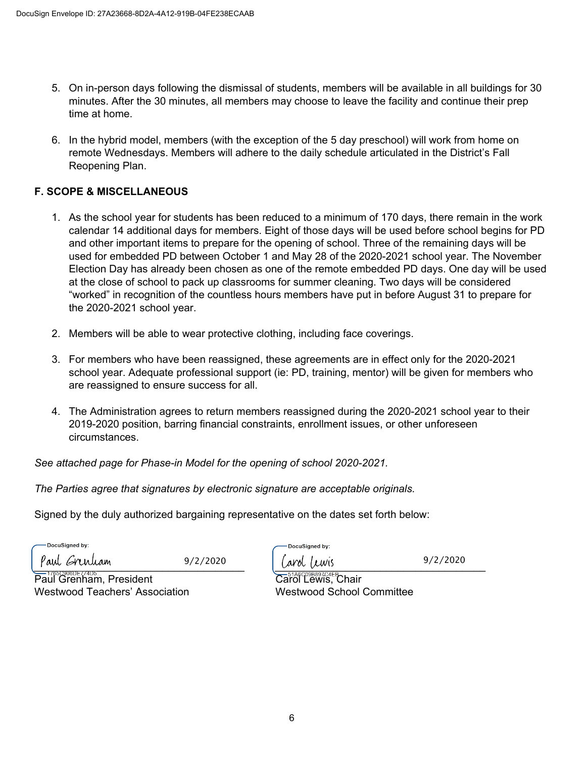- 5. On in-person days following the dismissal of students, members will be available in all buildings for 30 minutes. After the 30 minutes, all members may choose to leave the facility and continue their prep time at home.
- 6. In the hybrid model, members (with the exception of the 5 day preschool) will work from home on remote Wednesdays. Members will adhere to the daily schedule articulated in the District's Fall Reopening Plan.

## **F. SCOPE & MISCELLANEOUS**

- 1. As the school year for students has been reduced to a minimum of 170 days, there remain in the work calendar 14 additional days for members. Eight of those days will be used before school begins for PD and other important items to prepare for the opening of school. Three of the remaining days will be used for embedded PD between October 1 and May 28 of the 2020-2021 school year. The November Election Day has already been chosen as one of the remote embedded PD days. One day will be used at the close of school to pack up classrooms for summer cleaning. Two days will be considered "worked" in recognition of the countless hours members have put in before August 31 to prepare for the  $2020-2021$  school year.
- 2. Members will be able to wear protective clothing, including face coverings.
- 3. For members who have been reassigned, these agreements are in effect only for the 2020-2021 school year. Adequate professional support (ie: PD, training, mentor) will be given for members who are reassigned to ensure success for all.
- 4. The Administration agrees to return members reassigned during the 2020-2021 school year to their 2019-2020 position, barring financial constraints, enrollment issues, or other unforeseen circumstances.

*See* attached page for Phase-in Model for the opening of school 2020-2021.

*The* Parties agree that signatures by electronic signature are acceptable originals.

Signed by the duly authorized bargaining representative on the dates set forth below:

DocuSianed by:

*z*/2/2020 *(avoi (covered systems)* 9/2/2020

DocuSianed by: arol Trwis

 $9/2/2020$ 

 $\overline{\text{Pauli}}$  Grenham, President  $\overline{\text{Cari}}$   $\overline{\text{Cari}}$  Lewis, Chair Westwood Teachers' Association Mestwood School Committee